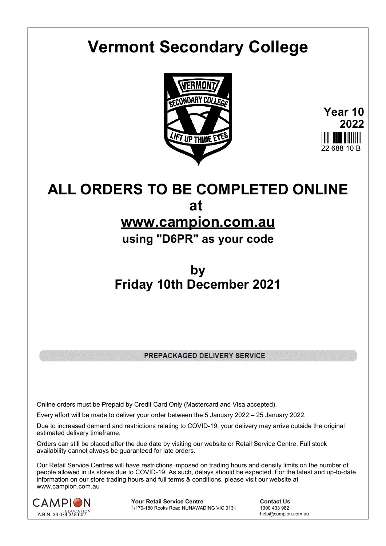# **Vermont Secondary College**



**Year 10 2022** 22.688.10 B

# **ALL ORDERS TO BE COMPLETED ONLINE at**

# **www.campion.com.au**

**using "D6PR" as your code**

# **by Friday 10th December 2021**

PREPACKAGED DELIVERY SERVICE

Online orders must be Prepaid by Credit Card Only (Mastercard and Visa accepted).

Every effort will be made to deliver your order between the 5 January 2022 – 25 January 2022.

Due to increased demand and restrictions relating to COVID-19, your delivery may arrive outside the original estimated delivery timeframe.

Orders can still be placed after the due date by visiting our website or Retail Service Centre. Full stock availability cannot always be guaranteed for late orders.

Our Retail Service Centres will have restrictions imposed on trading hours and density limits on the number of people allowed in its stores due to COVID-19. As such, delays should be expected. For the latest and up-to-date information on our store trading hours and full terms & conditions, please visit our website at www.campion.com.au



**Your Retail Service Centre**  Contact Us<br>1/170-180 Rooks Road NUNAWADING VIC 3131 1300 433 982 1/170-180 Rooks Road NUNAWADING VIC 3131

help@campion.com.au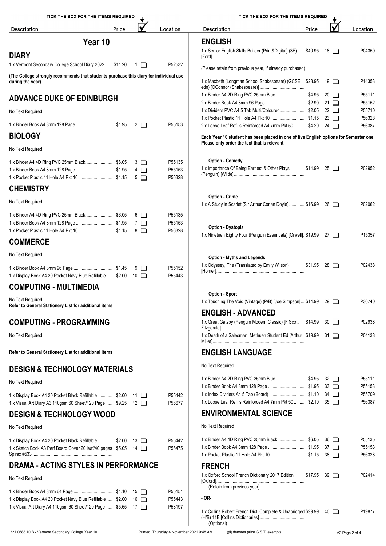| TICK THE BOX FOR THE ITEMS REQUIRED -                                                                                        |       |             |          | TICK THE BOX FOR THE ITEMS REQUIRED -                                                 |       |                    |                  |
|------------------------------------------------------------------------------------------------------------------------------|-------|-------------|----------|---------------------------------------------------------------------------------------|-------|--------------------|------------------|
| <b>Description</b>                                                                                                           | Price | V           | Location | <b>Description</b>                                                                    | Price |                    | Location         |
| Year 10                                                                                                                      |       |             |          | <b>ENGLISH</b>                                                                        |       |                    |                  |
| <b>DIARY</b>                                                                                                                 |       |             |          | 1 x Senior English Skills Builder (Print&Digital) (3E)                                |       | $$40.95$ 18 $\Box$ | P04359           |
| 1 x Vermont Secondary College School Diary 2022  \$11.20 1                                                                   |       |             | P52532   | (Please retain from previous year, if already purchased)                              |       |                    |                  |
| (The College strongly recommends that students purchase this diary for individual use                                        |       |             |          |                                                                                       |       |                    |                  |
| during the year).                                                                                                            |       |             |          | 1 x Macbeth (Longman School Shakespeare) (GCSE \$28.95 19                             |       |                    | P14353           |
| <b>ADVANCE DUKE OF EDINBURGH</b>                                                                                             |       |             |          |                                                                                       |       |                    | P55111           |
|                                                                                                                              |       |             |          | 1 x Dividers PVC A4 5 Tab Multi/Coloured \$2.05 22                                    |       |                    | P55152<br>P55710 |
| No Text Required                                                                                                             |       |             |          |                                                                                       |       |                    | P56328           |
|                                                                                                                              |       |             | P55153   | 2 x Loose Leaf Refills Reinforced A4 7mm Pkt 50  \$4.20 24                            |       |                    | P56387           |
| <b>BIOLOGY</b>                                                                                                               |       |             |          | Each Year 10 student has been placed in one of five English options for Semester one. |       |                    |                  |
| No Text Required                                                                                                             |       |             |          | Please only order the text that is relevant.                                          |       |                    |                  |
|                                                                                                                              |       | $3\Box$     | P55135   | <b>Option - Comedy</b>                                                                |       |                    |                  |
|                                                                                                                              |       | $-4$ $\Box$ | P55153   | 1 x Importance Of Being Earnest & Other Plays                                         |       | $$14.99$ 25 $\Box$ | P02952           |
|                                                                                                                              |       | $5\Box$     | P56328   |                                                                                       |       |                    |                  |
| <b>CHEMISTRY</b>                                                                                                             |       |             |          |                                                                                       |       |                    |                  |
| No Text Required                                                                                                             |       |             |          | <b>Option - Crime</b><br>1 x A Study in Scarlet [Sir Arthur Conan Doyle]  \$16.99 26  |       |                    | P02062           |
|                                                                                                                              |       | $6$ $\Box$  | P55135   |                                                                                       |       |                    |                  |
|                                                                                                                              |       | $7\Box$     | P55153   | Option - Dystopia                                                                     |       |                    |                  |
|                                                                                                                              |       | 8 □         | P56328   | 1 x Nineteen Eighty Four (Penguin Essentials) [Orwell]. \$19.99 27                    |       |                    | P15357           |
| <b>COMMERCE</b>                                                                                                              |       |             |          |                                                                                       |       |                    |                  |
| No Text Required                                                                                                             |       |             |          | <b>Option - Myths and Legends</b>                                                     |       |                    |                  |
|                                                                                                                              |       |             | P55152   | 1 x Odyssey, The (Translated by Emily Wilson)                                         |       | $$31.95$ 28 $\Box$ | P02438           |
| 1 x Display Book A4 20 Pocket Navy Blue Refillable  \$2.00 10                                                                |       |             | P55443   |                                                                                       |       |                    |                  |
| <b>COMPUTING - MULTIMEDIA</b>                                                                                                |       |             |          |                                                                                       |       |                    |                  |
| No Text Required                                                                                                             |       |             |          | Option - Sport<br>1 x Touching The Void (Vintage) (P/B) [Joe Simpson] \$14.99 29      |       |                    | P30740           |
| Refer to General Stationery List for additional items                                                                        |       |             |          | <b>ENGLISH - ADVANCED</b>                                                             |       |                    |                  |
| <b>COMPUTING - PROGRAMMING</b>                                                                                               |       |             |          | 1 x Great Gatsby (Penguin Modern Classic) [F Scott \$14.99 30                         |       |                    | P02938           |
|                                                                                                                              |       |             |          |                                                                                       |       |                    |                  |
| No Text Required                                                                                                             |       |             |          | 1 x Death of a Salesman: Methuen Student Ed [Arthur \$19.99 31                        |       |                    | P04138           |
| Refer to General Stationery List for additional items                                                                        |       |             |          | <b>ENGLISH LANGUAGE</b>                                                               |       |                    |                  |
| <b>DESIGN &amp; TECHNOLOGY MATERIALS</b>                                                                                     |       |             |          | No Text Required                                                                      |       |                    |                  |
| No Text Required                                                                                                             |       |             |          |                                                                                       |       |                    | P55111           |
|                                                                                                                              |       |             |          |                                                                                       |       |                    | P55153           |
| 1 x Display Book A4 20 Pocket Black Refillable \$2.00 11                                                                     |       |             | P55442   | 1 x Loose Leaf Refills Reinforced A4 7mm Pkt 50  \$2.10 35                            |       |                    | P55709<br>P56387 |
| 1 x Visual Art Diary A3 110gsm 60 Sheet/120 Page  \$9.25 12<br><b>DESIGN &amp; TECHNOLOGY WOOD</b>                           |       |             | P56677   | <b>ENVIRONMENTAL SCIENCE</b>                                                          |       |                    |                  |
|                                                                                                                              |       |             |          | No Text Required                                                                      |       |                    |                  |
| No Text Required                                                                                                             |       |             |          |                                                                                       |       |                    |                  |
| 1 x Display Book A4 20 Pocket Black Refillable \$2.00 13                                                                     |       |             | P55442   |                                                                                       |       |                    | P55135<br>P55153 |
| 1 x Sketch Book A3 Perf Board Cover 20 leaf/40 pages \$5.05 14                                                               |       |             | P56475   |                                                                                       |       |                    | P56328           |
| <b>DRAMA - ACTING STYLES IN PERFORMANCE</b>                                                                                  |       |             |          | <b>FRENCH</b>                                                                         |       |                    |                  |
| No Text Required                                                                                                             |       |             |          | 1 x Oxford School French Dictionary 2017 Edition                                      |       | $$17.95$ 39 $\Box$ | P02414           |
|                                                                                                                              |       |             |          | (Retain from previous year)                                                           |       |                    |                  |
|                                                                                                                              |       |             | P55151   | - OR-                                                                                 |       |                    |                  |
|                                                                                                                              |       |             | P55443   |                                                                                       |       |                    |                  |
| 1 x Display Book A4 20 Pocket Navy Blue Refillable  \$2.00 16<br>1 x Visual Art Diary A4 110gsm 60 Sheet/120 Page  \$5.65 17 |       |             | P58197   | 1 x Collins Robert French Dict: Complete & Unabridged \$99.99 40                      |       |                    | P19877           |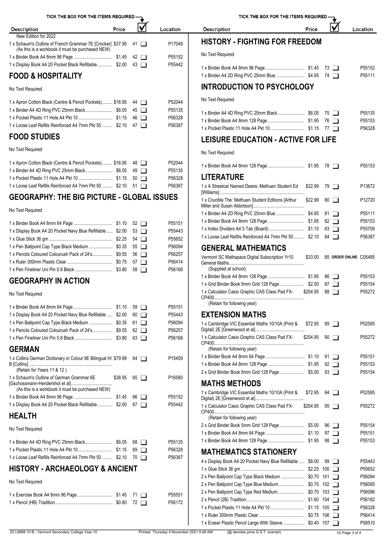TICK THE BOX FOR THE ITEMS REQUIRED- $\overline{\mathbf{v}}$  ,

| Price<br><b>Description</b>                                                                                        | Location | <b>Description</b>                    | Price | Location      |
|--------------------------------------------------------------------------------------------------------------------|----------|---------------------------------------|-------|---------------|
| New Edition for 2022                                                                                               |          |                                       |       |               |
| 1 x Schaum's Outline of French Grammar 7E [Crocker] \$37.95 41<br>(As this is a workbook it must be purchased NEW) | P17049   | <b>HISTORY - FIGHTING FOR FREEDOM</b> |       |               |
|                                                                                                                    | P55152   | No Text Required                      |       |               |
| 1 x Display Book A4 20 Pocket Black Refillable \$2.00 43                                                           | P55442   |                                       |       | P55152        |
| ---------------                                                                                                    |          |                                       |       | $\frac{1}{2}$ |

# **FOOD & HOSPITALITY**

No Text Required

| 1 x Apron Cotton Black (Centre & Pencil Pockets) \$16.95 44 | P52044 | No Text Required              |
|-------------------------------------------------------------|--------|-------------------------------|
|                                                             | P55135 | 1 x Binder A4 4D Ring PVC 25  |
|                                                             | P56328 | 1 x Binder Book A4 8mm 128 B  |
| 1 x Loose Leaf Refills Reinforced A4 7mm Pkt 50  \$2.10 47  | P56387 | 1 x Pocket Plastic 11 Hole A4 |

### **FOOD STUDIES**

No Text Required

| 1 x Apron Cotton Black (Centre & Pencil Pockets) \$16.95 48 |  | P52044 | 1 x Binder Book A4 8mm 128 I  |
|-------------------------------------------------------------|--|--------|-------------------------------|
|                                                             |  | P55135 |                               |
|                                                             |  | P56328 | <b>LITERATURE</b>             |
| 1 x Loose Leaf Refills Reinforced A4 7mm Pkt 50  \$2.10 51  |  | P56387 | 1 x A Streetcar Named Desire: |

# **GEOGRAPHY: THE BIG PICTURE - GLOBAL ISSUES**

### No Text Required

| 1 x Display Book A4 20 Pocket Navy Blue Refillable  \$2.00 53 |  | P55151<br>P55443<br>P55652 | 1 x Binder Book A4 8mm 128 I<br>1 x Index Dividers A4 5 Tab (B<br>1 x Loose Leaf Refills Reinford |
|---------------------------------------------------------------|--|----------------------------|---------------------------------------------------------------------------------------------------|
| 1 x Pen Ballpoint Cap Type Black Medium  \$0.35 55            |  | P56094                     | <b>GENERAL MATHE</b>                                                                              |
| 1 x Pencils Coloured Colourush Pack of 24's \$9.55 56         |  | P56257                     | Vermont SC Mathspace Digita                                                                       |
|                                                               |  | P56414                     | General Maths                                                                                     |
|                                                               |  | P56168                     | (Supplied at school)                                                                              |

### **GEOGRAPHY IN ACTION**

### No Text Required

|                                                            |                      |                                                                                                                              | (Retain for following year)          |
|------------------------------------------------------------|----------------------|------------------------------------------------------------------------------------------------------------------------------|--------------------------------------|
|                                                            | 59<br>□              | P55151                                                                                                                       |                                      |
| 1 x Display Book A4 20 Pocket Navy Blue Refillable  \$2.00 | 60<br>□              | P55443                                                                                                                       | <b>EXTENSION MATHS</b>               |
|                                                            | 61<br>$\Box$         | P56094                                                                                                                       | 1 x Cambridge VIC Essential Maths 1  |
|                                                            | 62<br>l 1            | P56257                                                                                                                       | Digital) 2E [Greenwood et al]        |
|                                                            | 63                   | P56168                                                                                                                       | 1 x Calculator Casio Graphic CAS Cla |
|                                                            |                      |                                                                                                                              | (Retain for following year)          |
|                                                            |                      |                                                                                                                              | 1 x Binder Book A4 8mm 64 Page       |
|                                                            |                      |                                                                                                                              | 1 x Binder Book A4 8mm 128 Page      |
|                                                            |                      |                                                                                                                              | 2 x Grid Binder Book 5mm Grid 128 F  |
| \$38.95                                                    | $65$ $\Box$          | P16580                                                                                                                       |                                      |
|                                                            |                      |                                                                                                                              | <b>MATHS METHODS</b>                 |
|                                                            |                      |                                                                                                                              | 1 x Cambridge VIC Essential Maths 1  |
|                                                            | 66<br>$\mathbf{I}$   | P55152                                                                                                                       | Digital) 2E [Greenwood et al]        |
| 1 x Display Book A4 20 Pocket Black Refillable \$2.00      | $67$ $\Box$          | P55442                                                                                                                       | 1 x Calculator Casio Graphic CAS Cla |
|                                                            |                      |                                                                                                                              |                                      |
|                                                            |                      |                                                                                                                              | (Retain for following year)          |
|                                                            |                      |                                                                                                                              | 2 x Grid Binder Book 5mm Grid 128 F  |
|                                                            |                      |                                                                                                                              | 1 x Binder Book A4 8mm 64 Page       |
|                                                            | 68 T                 | P55135                                                                                                                       | 1 x Binder Book A4 8mm 128 Page      |
|                                                            | 69<br>$\blacksquare$ | P56328                                                                                                                       | <b>MATHEMATICS STAT</b>              |
| 1 x Loose Leaf Refills Reinforced A4 7mm Pkt 50  \$2.10    | $70\Box$             | P56387                                                                                                                       | 4 x Display Book A4 20 Pocket Navy   |
|                                                            |                      |                                                                                                                              | 1 x Glue Stick 36 gm                 |
|                                                            |                      |                                                                                                                              | 2 x Pen Ballpoint Cap Type Black Me  |
|                                                            |                      |                                                                                                                              | 2 x Pen Ballpoint Cap Type Blue Med  |
|                                                            |                      |                                                                                                                              |                                      |
|                                                            | 71<br>$\mathbf{I}$   | P55551                                                                                                                       | 2 x Pen Ballpoint Cap Type Red Med   |
|                                                            | 72<br>$\perp$        | P56172                                                                                                                       | 2 x Pencil (2B) Tradition            |
|                                                            |                      |                                                                                                                              | 1 x Pocket Plastic 11 Hole A4 Pkt 10 |
|                                                            |                      |                                                                                                                              | 1 x Ruler 300mm Plastic Clear        |
|                                                            |                      | 1 x Collins German Dictionary in Colour 9E Bilingual H/ \$79.99<br>$64$ $\Box$<br><b>HISTORY - ARCHAEOLOGY &amp; ANCIENT</b> | P15459                               |

TICK THE BOX FOR THE ITEMS REQUIRED

#### $\overline{\blacklozenge}$ Price Location

|                                                  |  | P55152 |
|--------------------------------------------------|--|--------|
| 1 x Binder A4 2D Ring PVC 25mm Blue  \$4.95 74 □ |  | P55111 |

### **INTRODUCTION TO PSYCHOLOGY**

No Text Required

| 1 x Binder A4 4D Ring PVC 25mm Black\$6.05 75 □ |  | P55135 |
|-------------------------------------------------|--|--------|
|                                                 |  | P55153 |
|                                                 |  | P56328 |

## **LEISURE EDUCATION - ACTIVE FOR LIFE**

No Text Required

|                                                                                        |                    |     | 78 □                   | P55153 |
|----------------------------------------------------------------------------------------|--------------------|-----|------------------------|--------|
| LITERATURE                                                                             |                    |     |                        |        |
| 1 x A Streetcar Named Desire: Methuen Student Ed                                       | \$22.99            | 79  |                        | P13672 |
| 1 x Crucible The: Methuen Student Editions [Arthur                                     | \$22.99            |     | $80$ $\Box$            | P12720 |
| 1 x Binder A4 2D Ring PVC 25mm Blue \$4.95                                             |                    | 81  |                        | P55111 |
|                                                                                        |                    |     | $82 \Box$              | P55153 |
|                                                                                        |                    |     | 83 □                   | P55709 |
| 1 x Loose Leaf Refills Reinforced A4 7mm Pkt 50  \$2.10                                |                    | 84  | $\mathbf{1}$           | P56387 |
| <b>GENERAL MATHEMATICS</b>                                                             |                    |     |                        |        |
| Vermont SC Mathspace Digital Subscription Yr10                                         | \$33.00            |     | 85 ORDER ONLINE C05485 |        |
| (Supplied at school)                                                                   |                    |     |                        |        |
|                                                                                        |                    |     | 86 1                   | P55153 |
|                                                                                        |                    | 87  | $\blacksquare$         | P55154 |
| 1 x Calculator Casio Graphic CAS Class Pad FX- \$254.95<br>(Retain for following year) |                    | 88  |                        | P55272 |
| <b>EXTENSION MATHS</b>                                                                 |                    |     |                        |        |
| 1 x Cambridge VIC Essential Maths 10/10A (Print &                                      | \$72.95            |     | $89$ $\Box$            | P02585 |
| 1 x Calculator Casio Graphic CAS Class Pad FX-                                         | \$254.95           | 90  |                        | P55272 |
| (Retain for following year)                                                            |                    |     |                        |        |
|                                                                                        |                    | 91  | $\blacksquare$         | P55151 |
|                                                                                        |                    |     | $92$ $\Box$            | P55153 |
| 2 x Grid Binder Book 5mm Grid 128 Page  \$5.00                                         |                    |     | 93 □                   | P55154 |
| <b>MATHS METHODS</b>                                                                   |                    |     |                        |        |
| 1 x Cambridge VIC Essential Maths 10/10A (Print &                                      | \$72.95            | 94  |                        | P02585 |
| 1 x Calculator Casio Graphic CAS Class Pad FX-                                         | \$254.95           | 95  |                        | P55272 |
| (Retain for following year)                                                            |                    |     |                        |        |
| 2 x Grid Binder Book 5mm Grid 128 Page  \$5.00                                         |                    | 96  | $\mathbf{L}$           | P55154 |
|                                                                                        |                    |     | 97 □                   | P55151 |
|                                                                                        |                    | 98  |                        | P55153 |
| <b>MATHEMATICS STATIONERY</b>                                                          |                    |     |                        |        |
| 4 x Display Book A4 20 Pocket Navy Blue Refillable  \$8.00                             |                    | 99  |                        | P55443 |
|                                                                                        | \$2.25             | 100 |                        | P55652 |
| 2 x Pen Ballpoint Cap Type Black Medium  \$0.70 101                                    |                    |     |                        | P56094 |
| 2 x Pen Ballpoint Cap Type Blue Medium                                                 | $$0.70$ 102 $\Box$ |     |                        | P56095 |
| 2 x Pen Ballpoint Cap Type Red Medium                                                  | \$0.70 103         |     |                        | P56096 |
|                                                                                        | \$1.60 104         |     |                        | P56182 |
| 1 x Pocket Plastic 11 Hole A4 Pkt 10  \$1.15 105                                       |                    |     |                        | P56328 |
|                                                                                        |                    | 106 |                        | P56414 |
| 1 x Eraser Plastic Pencil Large With Sleeve  \$0.40 107                                |                    |     |                        | P58510 |